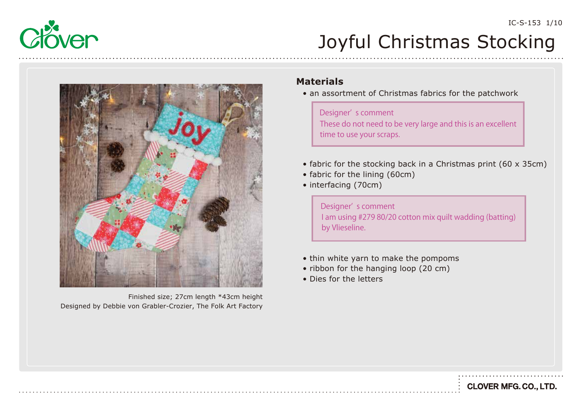



Designed by Debbie von Grabler-Crozier, The Folk Art Factory Finished size; 27cm length \*43cm height

#### **Materials**

• an assortment of Christmas fabrics for the patchwork

Designer' s comment These do not need to be very large and this is an excellent time to use your scraps.

- fabric for the stocking back in a Christmas print (60 x 35cm)
- fabric for the lining (60cm)
- interfacing (70cm)

I am using #279 80/20 cotton mix quilt wadding (batting) by Vlieseline. Designer' s comment

- thin white yarn to make the pompoms
- ribbon for the hanging loop (20 cm)
- Dies for the letters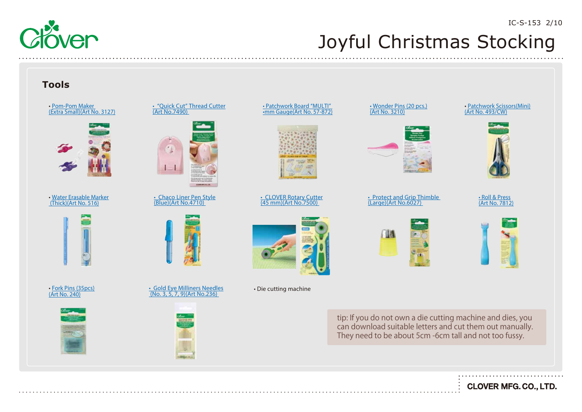#### **Tools**



• Patchwork Board "MULTI" [•mm Gauge\(Art No. 57-872\)](https://www.clover-mfg.com/product/9/238)



[• CLOVER Rotary Cutter](https://www.clover-mfg.com/product/7/92) (45 mm)(Art No.7500)



[• Wonder Pins \(20 pcs.\)](https://www.clover-mfg.com/product/6/902) (Art No. 3210)

[• Protect and Grip Thimble](https://www.clover-mfg.com/product/9/260)  (Large)(Art No.6027)

[• Patchwork Scissors\(Mini\)](https://www.clover-mfg.com/product/7/269) (Art No. 493/CW)



<u>• Roll & Press</u> <u>[\(Art No. 7812\)](https://www.clover-mfg.com/product/9/544)</u>



tip: If you do not own a die cutting machine and dies, you can download suitable letters and cut them out manually. They need to be about 5cm -6cm tall and not too fussy.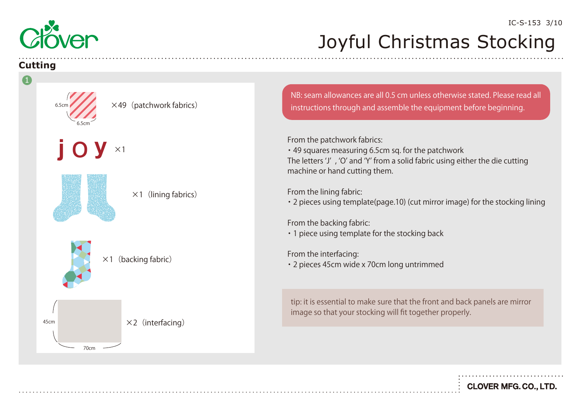

#### **Cutting**

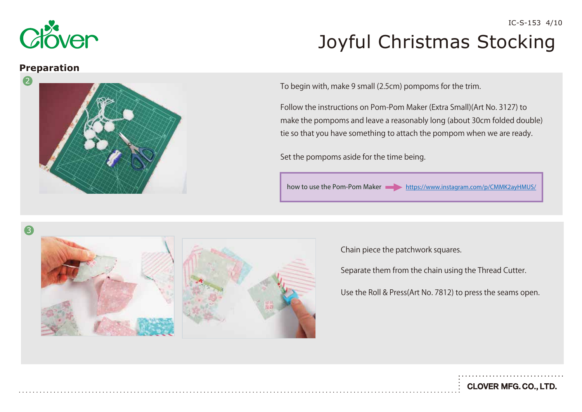

### Joyful Christmas Stocking IC-S-153 4/10

#### **Preparation**



To begin with, make 9 small (2.5cm) pompoms for the trim.

Follow the instructions on Pom-Pom Maker (Extra Small)(Art No. 3127) to make the pompoms and leave a reasonably long (about 30cm folded double) tie so that you have something to attach the pompom when we are ready.

Set the pompoms aside for the time being.

how to use the Pom-Pom Maker <https://www.instagram.com/p/CMMK2ayHMUS/>



Chain piece the patchwork squares.

Separate them from the chain using the Thread Cutter.

Use the Roll & Press(Art No. 7812) to press the seams open.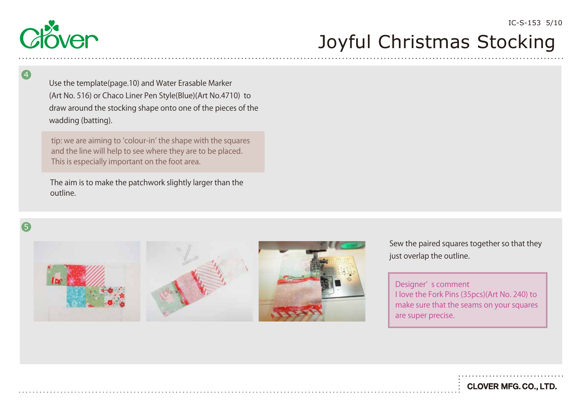

Use the template(page.10) and Water Erasable Marker (Art No. 516) or Chaco Liner Pen Style(Blue)(Art No.4710) to draw around the stocking shape onto one of the pieces of the wadding (batting).

tip: we are aiming to ʻcolour-in' the shape with the squares and the line will help to see where they are to be placed. This is especially important on the foot area.

The aim is to make the patchwork slightly larger than the outline.



4







Sew the paired squares together so that they just overlap the outline.

Designer' s comment I love the Fork Pins (35pcs)(Art No. 240) to make sure that the seams on your squares are super precise.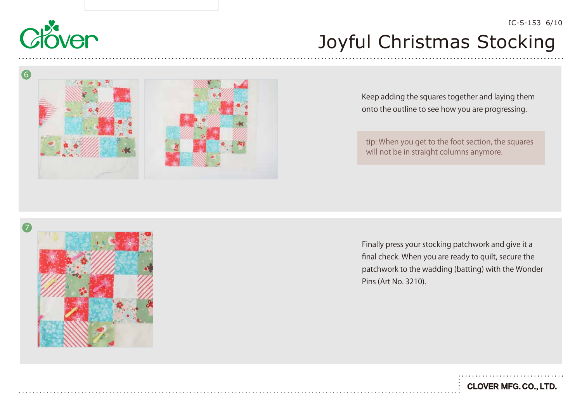

6

## Joyful Christmas Stocking



Keep adding the squares together and laying them onto the outline to see how you are progressing.

tip: When you get to the foot section, the squares will not be in straight columns anymore.



Finally press your stocking patchwork and give it a final check. When you are ready to quilt, secure the patchwork to the wadding (batting) with the Wonder Pins (Art No. 3210).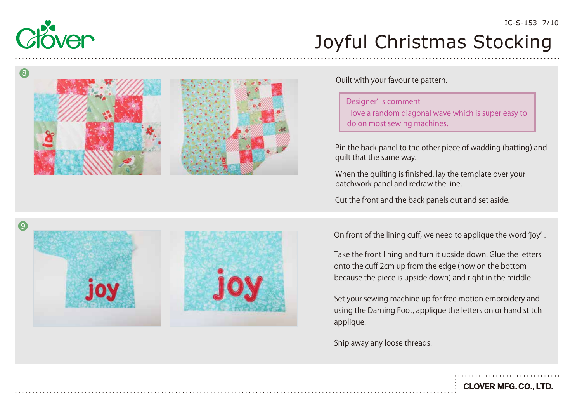

IC-S-153 7/10





Quilt with your favourite pattern.

Designer' s comment I love a random diagonal wave which is super easy to do on most sewing machines.

Pin the back panel to the other piece of wadding (batting) and quilt that the same way.

When the quilting is finished, lay the template over your patchwork panel and redraw the line.

Cut the front and the back panels out and set aside.

On front of the lining cuff, we need to applique the word ʻjoy ' .

Take the front lining and turn it upside down. Glue the letters onto the cuff 2cm up from the edge (now on the bottom because the piece is upside down) and right in the middle.

Set your sewing machine up for free motion embroidery and using the Darning Foot, applique the letters on or hand stitch applique.

Snip away any loose threads.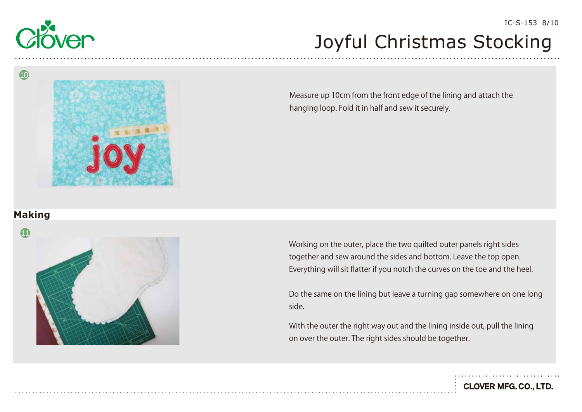

Measure up 10cm from the front edge of the lining and attach the hanging loop. Fold it in half and sew it securely.

### **Making**

10



Working on the outer, place the two quilted outer panels right sides together and sew around the sides and bottom. Leave the top open. Everything will sit flatter if you notch the curves on the toe and the heel.

Do the same on the lining but leave a turning gap somewhere on one long side.

With the outer the right way out and the lining inside out, pull the lining on over the outer. The right sides should be together.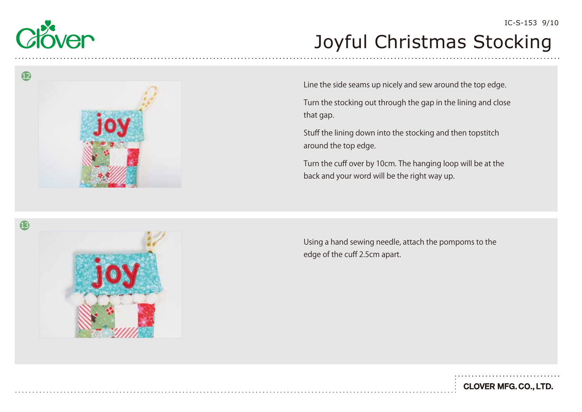



Line the side seams up nicely and sew around the top edge.

Turn the stocking out through the gap in the lining and close that gap.

Stuff the lining down into the stocking and then topstitch around the top edge.

Turn the cuff over by 10cm. The hanging loop will be at the back and your word will be the right way up.

Using a hand sewing needle, attach the pompoms to the edge of the cuff 2.5cm apart.